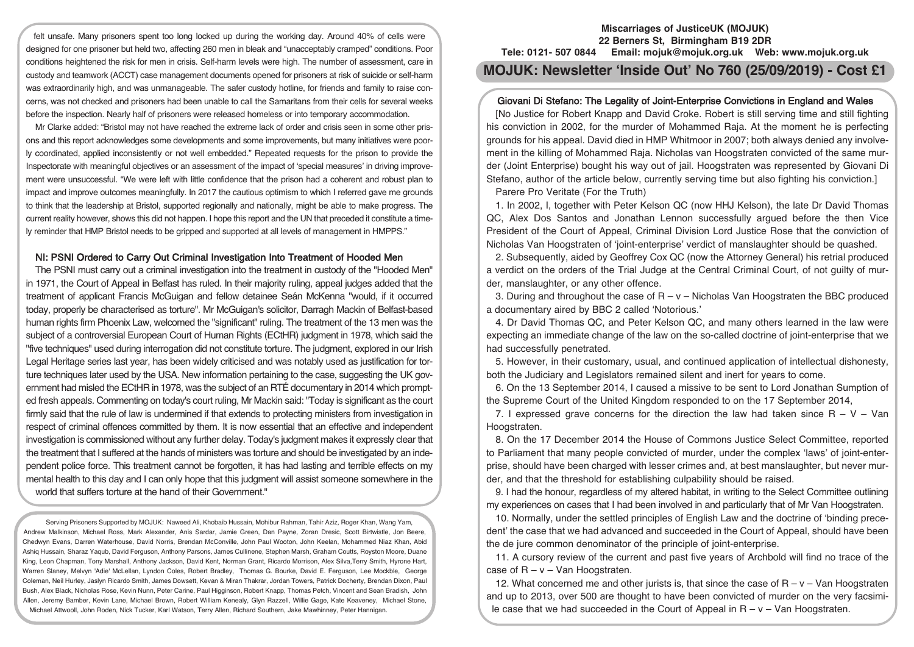felt unsafe. Many prisoners spent too long locked up during the working day. Around 40% of cells were designed for one prisoner but held two, affecting 260 men in bleak and "unacceptably cramped" conditions. Poor conditions heightened the risk for men in crisis. Self-harm levels were high. The number of assessment, care in custody and teamwork (ACCT) case management documents opened for prisoners at risk of suicide or self-harm was extraordinarily high, and was unmanageable. The safer custody hotline, for friends and family to raise concerns, was not checked and prisoners had been unable to call the Samaritans from their cells for several weeks before the inspection. Nearly half of prisoners were released homeless or into temporary accommodation.

Mr Clarke added: "Bristol may not have reached the extreme lack of order and crisis seen in some other prisons and this report acknowledges some developments and some improvements, but many initiatives were poorly coordinated, applied inconsistently or not well embedded." Repeated requests for the prison to provide the Inspectorate with meaningful objectives or an assessment of the impact of 'special measures' in driving improvement were unsuccessful. "We were left with little confidence that the prison had a coherent and robust plan to impact and improve outcomes meaningfully. In 2017 the cautious optimism to which I referred gave me grounds to think that the leadership at Bristol, supported regionally and nationally, might be able to make progress. The current reality however, shows this did not happen. I hope this report and the UN that preceded it constitute a timely reminder that HMP Bristol needs to be gripped and supported at all levels of management in HMPPS."

## NI: PSNI Ordered to Carry Out Criminal Investigation Into Treatment of Hooded Men

The PSNI must carry out a criminal investigation into the treatment in custody of the "Hooded Men" in 1971, the Court of Appeal in Belfast has ruled. In their majority ruling, appeal judges added that the treatment of applicant Francis McGuigan and fellow detainee Seán McKenna "would, if it occurred today, properly be characterised as torture". Mr McGuigan's solicitor, Darragh Mackin of Belfast-based human rights firm Phoenix Law, welcomed the "significant" ruling. The treatment of the 13 men was the subject of a controversial European Court of Human Rights (ECtHR) judgment in 1978, which said the "five techniques" used during interrogation did not constitute torture. The judgment, explored in our Irish Legal Heritage series last year, has been widely criticised and was notably used as justification for torture techniques later used by the USA. New information pertaining to the case, suggesting the UK government had misled the ECtHR in 1978, was the subject of an RTÉ documentary in 2014 which prompted fresh appeals. Commenting on today's court ruling, Mr Mackin said: "Today is significant as the court firmly said that the rule of law is undermined if that extends to protecting ministers from investigation in respect of criminal offences committed by them. It is now essential that an effective and independent investigation is commissioned without any further delay. Today's judgment makes it expressly clear that the treatment that I suffered at the hands of ministers was torture and should be investigated by an independent police force. This treatment cannot be forgotten, it has had lasting and terrible effects on my mental health to this day and I can only hope that this judgment will assist someone somewhere in the world that suffers torture at the hand of their Government."

Serving Prisoners Supported by MOJUK: Naweed Ali, Khobaib Hussain, Mohibur Rahman, Tahir Aziz, Roger Khan, Wang Yam, Andrew Malkinson, Michael Ross, Mark Alexander, Anis Sardar, Jamie Green, Dan Payne, Zoran Dresic, Scott Birtwistle, Jon Beere, Chedwyn Evans, Darren Waterhouse, David Norris, Brendan McConville, John Paul Wooton, John Keelan, Mohammed Niaz Khan, Abid Ashiq Hussain, Sharaz Yaqub, David Ferguson, Anthony Parsons, James Cullinene, Stephen Marsh, Graham Coutts, Royston Moore, Duane King, Leon Chapman, Tony Marshall, Anthony Jackson, David Kent, Norman Grant, Ricardo Morrison, Alex Silva,Terry Smith, Hyrone Hart, Warren Slaney, Melvyn 'Adie' McLellan, Lyndon Coles, Robert Bradley, Thomas G. Bourke, David E. Ferguson, Lee Mockble, George Coleman, Neil Hurley, Jaslyn Ricardo Smith, James Dowsett, Kevan & Miran Thakrar, Jordan Towers, Patrick Docherty, Brendan Dixon, Paul Bush, Alex Black, Nicholas Rose, Kevin Nunn, Peter Carine, Paul Higginson, Robert Knapp, Thomas Petch, Vincent and Sean Bradish, John Allen, Jeremy Bamber, Kevin Lane, Michael Brown, Robert William Kenealy, Glyn Razzell, Willie Gage, Kate Keaveney, Michael Stone, Michael Attwooll, John Roden, Nick Tucker, Karl Watson, Terry Allen, Richard Southern, Jake Mawhinney, Peter Hannigan.

# **Miscarriages of JusticeUK (MOJUK) 22 Berners St, Birmingham B19 2DR**

**Tele: 0121- 507 0844 Email: mojuk@mojuk.org.uk Web: www.mojuk.org.uk**

# **MOJUK: Newsletter 'Inside Out' No 760 (25/09/2019) - Cost £1**

### Giovani Di Stefano: The Legality of Joint-Enterprise Convictions in England and Wales

[No Justice for Robert Knapp and David Croke. Robert is still serving time and still fighting his conviction in 2002, for the murder of Mohammed Raja. At the moment he is perfecting grounds for his appeal. David died in HMP Whitmoor in 2007; both always denied any involvement in the killing of Mohammed Raja. Nicholas van Hoogstraten convicted of the same murder (Joint Enterprise) bought his way out of jail. Hoogstraten was represented by Giovani Di Stefano, author of the article below, currently serving time but also fighting his conviction.]

Parere Pro Veritate (For the Truth)

1. In 2002, I, together with Peter Kelson QC (now HHJ Kelson), the late Dr David Thomas QC, Alex Dos Santos and Jonathan Lennon successfully argued before the then Vice President of the Court of Appeal, Criminal Division Lord Justice Rose that the conviction of Nicholas Van Hoogstraten of 'joint-enterprise' verdict of manslaughter should be quashed.

2. Subsequently, aided by Geoffrey Cox QC (now the Attorney General) his retrial produced a verdict on the orders of the Trial Judge at the Central Criminal Court, of not guilty of murder, manslaughter, or any other offence.

3. During and throughout the case of  $R - v - N$ icholas Van Hoogstraten the BBC produced a documentary aired by BBC 2 called 'Notorious.'

4. Dr David Thomas QC, and Peter Kelson QC, and many others learned in the law were expecting an immediate change of the law on the so-called doctrine of joint-enterprise that we had successfully penetrated.

5. However, in their customary, usual, and continued application of intellectual dishonesty, both the Judiciary and Legislators remained silent and inert for years to come.

6. On the 13 September 2014, I caused a missive to be sent to Lord Jonathan Sumption of the Supreme Court of the United Kingdom responded to on the 17 September 2014,

7. I expressed grave concerns for the direction the law had taken since  $R - V - Van$ Hoogstraten.

8. On the 17 December 2014 the House of Commons Justice Select Committee, reported to Parliament that many people convicted of murder, under the complex 'laws' of joint-enterprise, should have been charged with lesser crimes and, at best manslaughter, but never murder, and that the threshold for establishing culpability should be raised.

9. I had the honour, regardless of my altered habitat, in writing to the Select Committee outlining my experiences on cases that I had been involved in and particularly that of Mr Van Hoogstraten.

10. Normally, under the settled principles of English Law and the doctrine of 'binding precedent' the case that we had advanced and succeeded in the Court of Appeal, should have been the de jure common denominator of the principle of joint-enterprise.

11. A cursory review of the current and past five years of Archbold will find no trace of the case of  $R - v - Van Hoogstraten$ .

12. What concerned me and other jurists is, that since the case of  $R - v - Van Hoogstraten$ and up to 2013, over 500 are thought to have been convicted of murder on the very facsimile case that we had succeeded in the Court of Appeal in  $R - v - Van$  Hoogstraten.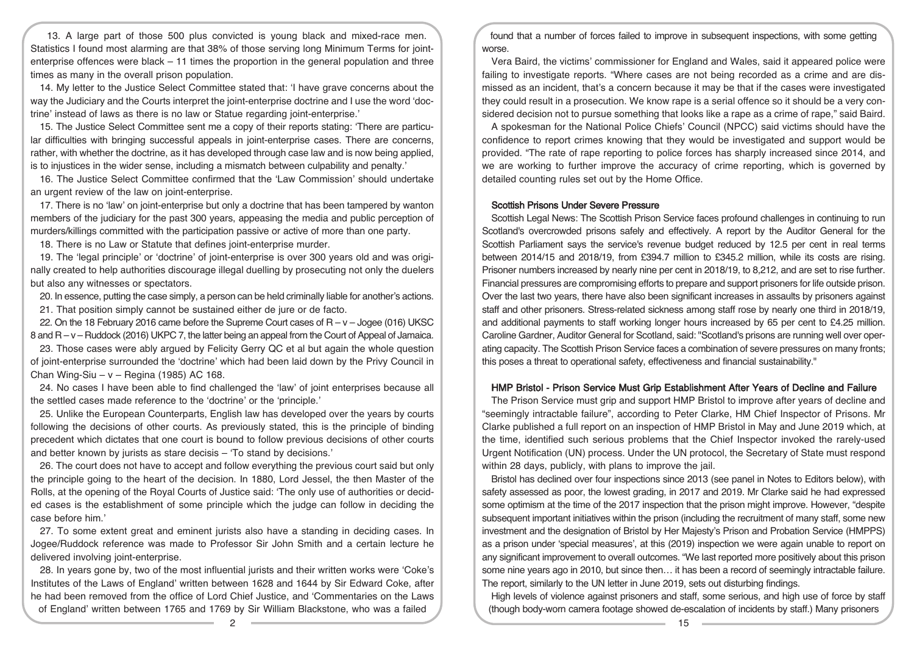13. A large part of those 500 plus convicted is young black and mixed-race men. Statistics I found most alarming are that 38% of those serving long Minimum Terms for jointenterprise offences were black  $-11$  times the proportion in the general population and three times as many in the overall prison population.

14. My letter to the Justice Select Committee stated that: 'I have grave concerns about the way the Judiciary and the Courts interpret the joint-enterprise doctrine and I use the word 'doctrine' instead of laws as there is no law or Statue regarding joint-enterprise.'

15. The Justice Select Committee sent me a copy of their reports stating: 'There are particular difficulties with bringing successful appeals in joint-enterprise cases. There are concerns, rather, with whether the doctrine, as it has developed through case law and is now being applied, is to injustices in the wider sense, including a mismatch between culpability and penalty.'

16. The Justice Select Committee confirmed that the 'Law Commission' should undertake an urgent review of the law on joint-enterprise.

17. There is no 'law' on joint-enterprise but only a doctrine that has been tampered by wanton members of the judiciary for the past 300 years, appeasing the media and public perception of murders/killings committed with the participation passive or active of more than one party.

18. There is no Law or Statute that defines joint-enterprise murder.

19. The 'legal principle' or 'doctrine' of joint-enterprise is over 300 years old and was originally created to help authorities discourage illegal duelling by prosecuting not only the duelers but also any witnesses or spectators.

20. In essence, putting the case simply, a person can be held criminally liable for another's actions.

21. That position simply cannot be sustained either de jure or de facto.

22. On the 18 February 2016 came before the Supreme Court cases of  $R - v - J$ ogee (016) UKSC 8 and R – v – Ruddock (2016) UKPC 7, the latter being an appeal from the Court of Appeal of Jamaica.

23. Those cases were ably argued by Felicity Gerry QC et al but again the whole question of joint-enterprise surrounded the 'doctrine' which had been laid down by the Privy Council in Chan Wing-Siu – v – Regina (1985) AC 168.

24. No cases I have been able to find challenged the 'law' of joint enterprises because all the settled cases made reference to the 'doctrine' or the 'principle.'

25. Unlike the European Counterparts, English law has developed over the years by courts following the decisions of other courts. As previously stated, this is the principle of binding precedent which dictates that one court is bound to follow previous decisions of other courts and better known by jurists as stare decisis – 'To stand by decisions.'

26. The court does not have to accept and follow everything the previous court said but only the principle going to the heart of the decision. In 1880, Lord Jessel, the then Master of the Rolls, at the opening of the Royal Courts of Justice said: 'The only use of authorities or decided cases is the establishment of some principle which the judge can follow in deciding the case before him.'

27. To some extent great and eminent jurists also have a standing in deciding cases. In Jogee/Ruddock reference was made to Professor Sir John Smith and a certain lecture he delivered involving joint-enterprise.

28. In years gone by, two of the most influential jurists and their written works were 'Coke's Institutes of the Laws of England' written between 1628 and 1644 by Sir Edward Coke, after he had been removed from the office of Lord Chief Justice, and 'Commentaries on the Laws of England' written between 1765 and 1769 by Sir William Blackstone, who was a failed

found that a number of forces failed to improve in subsequent inspections, with some getting worse.

Vera Baird, the victims' commissioner for England and Wales, said it appeared police were failing to investigate reports. "Where cases are not being recorded as a crime and are dismissed as an incident, that's a concern because it may be that if the cases were investigated they could result in a prosecution. We know rape is a serial offence so it should be a very considered decision not to pursue something that looks like a rape as a crime of rape," said Baird.

A spokesman for the National Police Chiefs' Council (NPCC) said victims should have the confidence to report crimes knowing that they would be investigated and support would be provided. "The rate of rape reporting to police forces has sharply increased since 2014, and we are working to further improve the accuracy of crime reporting, which is governed by detailed counting rules set out by the Home Office.

## Scottish Prisons Under Severe Pressure

Scottish Legal News: The Scottish Prison Service faces profound challenges in continuing to run Scotland's overcrowded prisons safely and effectively. A report by the Auditor General for the Scottish Parliament says the service's revenue budget reduced by 12.5 per cent in real terms between 2014/15 and 2018/19, from £394.7 million to £345.2 million, while its costs are rising. Prisoner numbers increased by nearly nine per cent in 2018/19, to 8,212, and are set to rise further. Financial pressures are compromising efforts to prepare and support prisoners for life outside prison. Over the last two years, there have also been significant increases in assaults by prisoners against staff and other prisoners. Stress-related sickness among staff rose by nearly one third in 2018/19, and additional payments to staff working longer hours increased by 65 per cent to £4.25 million. Caroline Gardner, Auditor General for Scotland, said: "Scotland's prisons are running well over operating capacity. The Scottish Prison Service faces a combination of severe pressures on many fronts; this poses a threat to operational safety, effectiveness and financial sustainability."

# HMP Bristol - Prison Service Must Grip Establishment After Years of Decline and Failure

The Prison Service must grip and support HMP Bristol to improve after years of decline and "seemingly intractable failure", according to Peter Clarke, HM Chief Inspector of Prisons. Mr Clarke published a full report on an inspection of HMP Bristol in May and June 2019 which, at the time, identified such serious problems that the Chief Inspector invoked the rarely-used Urgent Notification (UN) process. Under the UN protocol, the Secretary of State must respond within 28 days, publicly, with plans to improve the jail.

Bristol has declined over four inspections since 2013 (see panel in Notes to Editors below), with safety assessed as poor, the lowest grading, in 2017 and 2019. Mr Clarke said he had expressed some optimism at the time of the 2017 inspection that the prison might improve. However, "despite subsequent important initiatives within the prison (including the recruitment of many staff, some new investment and the designation of Bristol by Her Majesty's Prison and Probation Service (HMPPS) as a prison under 'special measures', at this (2019) inspection we were again unable to report on any significant improvement to overall outcomes. "We last reported more positively about this prison some nine years ago in 2010, but since then… it has been a record of seemingly intractable failure. The report, similarly to the UN letter in June 2019, sets out disturbing findings.

High levels of violence against prisoners and staff, some serious, and high use of force by staff (though body-worn camera footage showed de-escalation of incidents by staff.) Many prisoners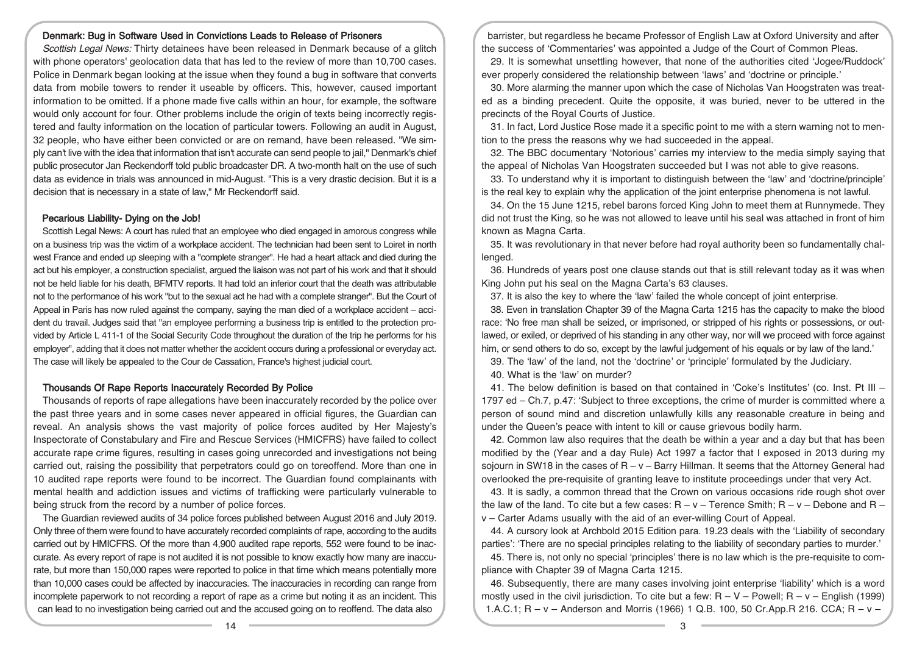## Denmark: Bug in Software Used in Convictions Leads to Release of Prisoners

Scottish Legal News: Thirty detainees have been released in Denmark because of a glitch with phone operators' geolocation data that has led to the review of more than 10,700 cases. Police in Denmark began looking at the issue when they found a bug in software that converts data from mobile towers to render it useable by officers. This, however, caused important information to be omitted. If a phone made five calls within an hour, for example, the software would only account for four. Other problems include the origin of texts being incorrectly registered and faulty information on the location of particular towers. Following an audit in August, 32 people, who have either been convicted or are on remand, have been released. "We simply can't live with the idea that information that isn't accurate can send people to jail," Denmark's chief public prosecutor Jan Reckendorff told public broadcaster DR. A two-month halt on the use of such data as evidence in trials was announced in mid-August. "This is a very drastic decision. But it is a decision that is necessary in a state of law," Mr Reckendorff said.

#### Pecarious Liability- Dying on the Job!

Scottish Legal News: A court has ruled that an employee who died engaged in amorous congress while on a business trip was the victim of a workplace accident. The technician had been sent to Loiret in north west France and ended up sleeping with a "complete stranger". He had a heart attack and died during the act but his employer, a construction specialist, argued the liaison was not part of his work and that it should not be held liable for his death, BFMTV reports. It had told an inferior court that the death was attributable not to the performance of his work "but to the sexual act he had with a complete stranger". But the Court of Appeal in Paris has now ruled against the company, saying the man died of a workplace accident – accident du travail. Judges said that "an employee performing a business trip is entitled to the protection provided by Article L 411-1 of the Social Security Code throughout the duration of the trip he performs for his employer", adding that it does not matter whether the accident occurs during a professional or everyday act. The case will likely be appealed to the Cour de Cassation, France's highest judicial court.

#### Thousands Of Rape Reports Inaccurately Recorded By Police

Thousands of reports of rape allegations have been inaccurately recorded by the police over the past three years and in some cases never appeared in official figures, the Guardian can reveal. An analysis shows the vast majority of police forces audited by Her Majesty's Inspectorate of Constabulary and Fire and Rescue Services (HMICFRS) have failed to collect accurate rape crime figures, resulting in cases going unrecorded and investigations not being carried out, raising the possibility that perpetrators could go on toreoffend. More than one in 10 audited rape reports were found to be incorrect. The Guardian found complainants with mental health and addiction issues and victims of trafficking were particularly vulnerable to being struck from the record by a number of police forces.

The Guardian reviewed audits of 34 police forces published between August 2016 and July 2019. Only three of them were found to have accurately recorded complaints of rape, according to the audits carried out by HMICFRS. Of the more than 4,900 audited rape reports, 552 were found to be inaccurate. As every report of rape is not audited it is not possible to know exactly how many are inaccurate, but more than 150,000 rapes were reported to police in that time which means potentially more than 10,000 cases could be affected by inaccuracies. The inaccuracies in recording can range from incomplete paperwork to not recording a report of rape as a crime but noting it as an incident. This can lead to no investigation being carried out and the accused going on to reoffend. The data also

barrister, but regardless he became Professor of English Law at Oxford University and after the success of 'Commentaries' was appointed a Judge of the Court of Common Pleas.

29. It is somewhat unsettling however, that none of the authorities cited 'Jogee/Ruddock' ever properly considered the relationship between 'laws' and 'doctrine or principle.'

30. More alarming the manner upon which the case of Nicholas Van Hoogstraten was treated as a binding precedent. Quite the opposite, it was buried, never to be uttered in the precincts of the Royal Courts of Justice.

31. In fact, Lord Justice Rose made it a specific point to me with a stern warning not to mention to the press the reasons why we had succeeded in the appeal.

32. The BBC documentary 'Notorious' carries my interview to the media simply saying that the appeal of Nicholas Van Hoogstraten succeeded but I was not able to give reasons.

33. To understand why it is important to distinguish between the 'law' and 'doctrine/principle' is the real key to explain why the application of the joint enterprise phenomena is not lawful.

34. On the 15 June 1215, rebel barons forced King John to meet them at Runnymede. They did not trust the King, so he was not allowed to leave until his seal was attached in front of him known as Magna Carta.

35. It was revolutionary in that never before had royal authority been so fundamentally challenged.

36. Hundreds of years post one clause stands out that is still relevant today as it was when King John put his seal on the Magna Carta's 63 clauses.

37. It is also the key to where the 'law' failed the whole concept of joint enterprise.

38. Even in translation Chapter 39 of the Magna Carta 1215 has the capacity to make the blood race: 'No free man shall be seized, or imprisoned, or stripped of his rights or possessions, or outlawed, or exiled, or deprived of his standing in any other way, nor will we proceed with force against him, or send others to do so, except by the lawful judgement of his equals or by law of the land.'

39. The 'law' of the land, not the 'doctrine' or 'principle' formulated by the Judiciary.

40. What is the 'law' on murder?

41. The below definition is based on that contained in 'Coke's Institutes' (co. Inst. Pt III – 1797 ed – Ch.7, p.47: 'Subject to three exceptions, the crime of murder is committed where a person of sound mind and discretion unlawfully kills any reasonable creature in being and under the Queen's peace with intent to kill or cause grievous bodily harm.

42. Common law also requires that the death be within a year and a day but that has been modified by the (Year and a day Rule) Act 1997 a factor that I exposed in 2013 during my sojourn in SW18 in the cases of  $R - v -$  Barry Hillman. It seems that the Attorney General had overlooked the pre-requisite of granting leave to institute proceedings under that very Act.

43. It is sadly, a common thread that the Crown on various occasions ride rough shot over the law of the land. To cite but a few cases:  $R - v -$  Terence Smith;  $R - v -$  Debone and  $R - v$ v – Carter Adams usually with the aid of an ever-willing Court of Appeal.

44. A cursory look at Archbold 2015 Edition para. 19.23 deals with the 'Liability of secondary parties': 'There are no special principles relating to the liability of secondary parties to murder.'

45. There is, not only no special 'principles' there is no law which is the pre-requisite to compliance with Chapter 39 of Magna Carta 1215.

46. Subsequently, there are many cases involving joint enterprise 'liability' which is a word mostly used in the civil jurisdiction. To cite but a few:  $R - V -$  Powell:  $R - v -$  English (1999) 1.A.C.1; R – v – Anderson and Morris (1966) 1 Q.B. 100, 50 Cr.App.R 216. CCA; R – v –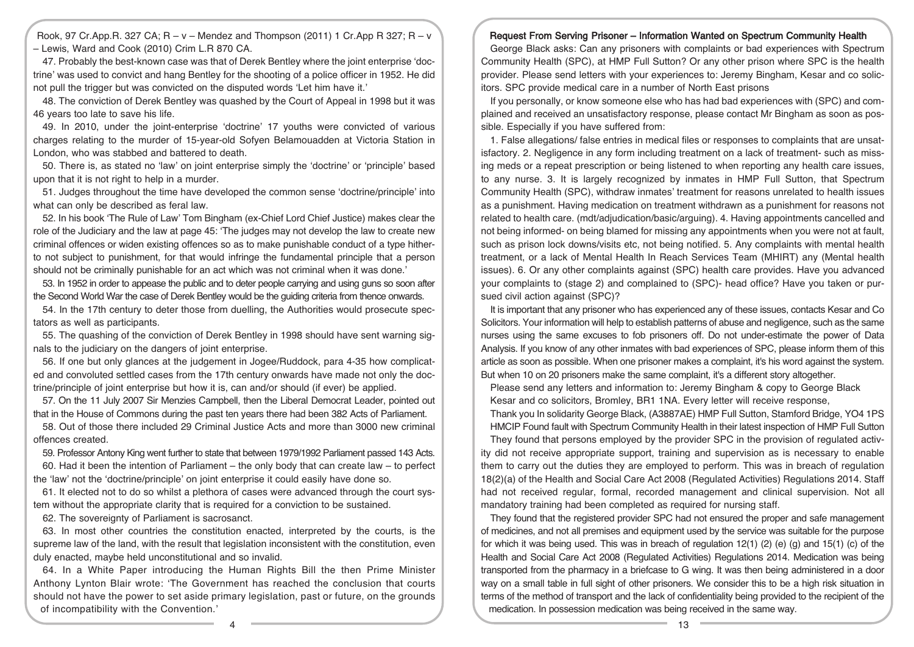Rook, 97 Cr.App.R. 327 CA; R – v – Mendez and Thompson (2011) 1 Cr.App R 327; R – v – Lewis, Ward and Cook (2010) Crim L.R 870 CA.

47. Probably the best-known case was that of Derek Bentley where the joint enterprise 'doctrine' was used to convict and hang Bentley for the shooting of a police officer in 1952. He did not pull the trigger but was convicted on the disputed words 'Let him have it.'

48. The conviction of Derek Bentley was quashed by the Court of Appeal in 1998 but it was 46 years too late to save his life.

49. In 2010, under the joint-enterprise 'doctrine' 17 youths were convicted of various charges relating to the murder of 15-year-old Sofyen Belamouadden at Victoria Station in London, who was stabbed and battered to death.

50. There is, as stated no 'law' on joint enterprise simply the 'doctrine' or 'principle' based upon that it is not right to help in a murder.

51. Judges throughout the time have developed the common sense 'doctrine/principle' into what can only be described as feral law.

52. In his book 'The Rule of Law' Tom Bingham (ex-Chief Lord Chief Justice) makes clear the role of the Judiciary and the law at page 45: 'The judges may not develop the law to create new criminal offences or widen existing offences so as to make punishable conduct of a type hitherto not subject to punishment, for that would infringe the fundamental principle that a person should not be criminally punishable for an act which was not criminal when it was done.'

53. In 1952 in order to appease the public and to deter people carrying and using guns so soon after the Second World War the case of Derek Bentley would be the guiding criteria from thence onwards.

54. In the 17th century to deter those from duelling, the Authorities would prosecute spectators as well as participants.

55. The quashing of the conviction of Derek Bentley in 1998 should have sent warning signals to the judiciary on the dangers of joint enterprise.

56. If one but only glances at the judgement in Jogee/Ruddock, para 4-35 how complicated and convoluted settled cases from the 17th century onwards have made not only the doctrine/principle of joint enterprise but how it is, can and/or should (if ever) be applied.

57. On the 11 July 2007 Sir Menzies Campbell, then the Liberal Democrat Leader, pointed out that in the House of Commons during the past ten years there had been 382 Acts of Parliament.

58. Out of those there included 29 Criminal Justice Acts and more than 3000 new criminal offences created.

59. Professor Antony King went further to state that between 1979/1992 Parliament passed 143 Acts.

60. Had it been the intention of Parliament – the only body that can create law – to perfect the 'law' not the 'doctrine/principle' on joint enterprise it could easily have done so.

61. It elected not to do so whilst a plethora of cases were advanced through the court system without the appropriate clarity that is required for a conviction to be sustained.

62. The sovereignty of Parliament is sacrosanct.

63. In most other countries the constitution enacted, interpreted by the courts, is the supreme law of the land, with the result that legislation inconsistent with the constitution, even duly enacted, maybe held unconstitutional and so invalid.

64. In a White Paper introducing the Human Rights Bill the then Prime Minister Anthony Lynton Blair wrote: 'The Government has reached the conclusion that courts should not have the power to set aside primary legislation, past or future, on the grounds of incompatibility with the Convention.'

# Request From Serving Prisoner – Information Wanted on Spectrum Community Health

George Black asks: Can any prisoners with complaints or bad experiences with Spectrum Community Health (SPC), at HMP Full Sutton? Or any other prison where SPC is the health provider. Please send letters with your experiences to: Jeremy Bingham, Kesar and co solicitors. SPC provide medical care in a number of North East prisons

If you personally, or know someone else who has had bad experiences with (SPC) and complained and received an unsatisfactory response, please contact Mr Bingham as soon as possible. Especially if you have suffered from:

1. False allegations/ false entries in medical files or responses to complaints that are unsatisfactory. 2. Negligence in any form including treatment on a lack of treatment- such as missing meds or a repeat prescription or being listened to when reporting any health care issues, to any nurse. 3. It is largely recognized by inmates in HMP Full Sutton, that Spectrum Community Health (SPC), withdraw inmates' treatment for reasons unrelated to health issues as a punishment. Having medication on treatment withdrawn as a punishment for reasons not related to health care. (mdt/adjudication/basic/arguing). 4. Having appointments cancelled and not being informed- on being blamed for missing any appointments when you were not at fault, such as prison lock downs/visits etc, not being notified. 5. Any complaints with mental health treatment, or a lack of Mental Health In Reach Services Team (MHIRT) any (Mental health issues). 6. Or any other complaints against (SPC) health care provides. Have you advanced your complaints to (stage 2) and complained to (SPC)- head office? Have you taken or pursued civil action against (SPC)?

It is important that any prisoner who has experienced any of these issues, contacts Kesar and Co Solicitors. Your information will help to establish patterns of abuse and negligence, such as the same nurses using the same excuses to fob prisoners off. Do not under-estimate the power of Data Analysis. If you know of any other inmates with bad experiences of SPC, please inform them of this article as soon as possible. When one prisoner makes a complaint, it's his word against the system. But when 10 on 20 prisoners make the same complaint, it's a different story altogether.

Please send any letters and information to: Jeremy Bingham & copy to George Black Kesar and co solicitors, Bromley, BR1 1NA. Every letter will receive response,

Thank you In solidarity George Black, (A3887AE) HMP Full Sutton, Stamford Bridge, YO4 1PS HMCIP Found fault with Spectrum Community Health in their latest inspection of HMP Full Sutton

They found that persons employed by the provider SPC in the provision of regulated activity did not receive appropriate support, training and supervision as is necessary to enable them to carry out the duties they are employed to perform. This was in breach of regulation 18(2)(a) of the Health and Social Care Act 2008 (Regulated Activities) Regulations 2014. Staff had not received regular, formal, recorded management and clinical supervision. Not all mandatory training had been completed as required for nursing staff.

They found that the registered provider SPC had not ensured the proper and safe management of medicines, and not all premises and equipment used by the service was suitable for the purpose for which it was being used. This was in breach of regulation 12(1) (2) (e) (g) and 15(1) (c) of the Health and Social Care Act 2008 (Regulated Activities) Regulations 2014. Medication was being transported from the pharmacy in a briefcase to G wing. It was then being administered in a door way on a small table in full sight of other prisoners. We consider this to be a high risk situation in terms of the method of transport and the lack of confidentiality being provided to the recipient of the medication. In possession medication was being received in the same way.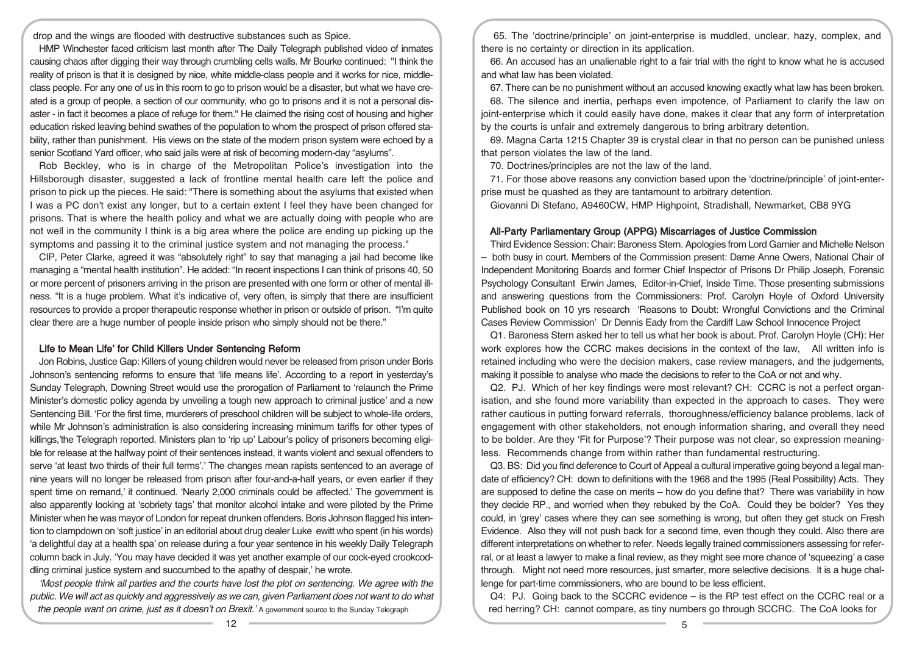drop and the wings are flooded with destructive substances such as Spice.

HMP Winchester faced criticism last month after The Daily Telegraph published video of inmates causing chaos after digging their way through crumbling cells walls. Mr Bourke continued: "I think the reality of prison is that it is designed by nice, white middle-class people and it works for nice, middleclass people. For any one of us in this room to go to prison would be a disaster, but what we have created is a group of people, a section of our community, who go to prisons and it is not a personal disaster - in fact it becomes a place of refuge for them." He claimed the rising cost of housing and higher education risked leaving behind swathes of the population to whom the prospect of prison offered stability, rather than punishment. His views on the state of the modern prison system were echoed by a senior Scotland Yard officer, who said jails were at risk of becoming modern-day "asylums".

Rob Beckley, who is in charge of the Metropolitan Police's investigation into the Hillsborough disaster, suggested a lack of frontline mental health care left the police and prison to pick up the pieces. He said: "There is something about the asylums that existed when I was a PC don't exist any longer, but to a certain extent I feel they have been changed for prisons. That is where the health policy and what we are actually doing with people who are not well in the community I think is a big area where the police are ending up picking up the symptoms and passing it to the criminal justice system and not managing the process."

CIP, Peter Clarke, agreed it was "absolutely right" to say that managing a jail had become like managing a "mental health institution". He added: "In recent inspections I can think of prisons 40, 50 or more percent of prisoners arriving in the prison are presented with one form or other of mental illness. "It is a huge problem. What it's indicative of, very often, is simply that there are insufficient resources to provide a proper therapeutic response whether in prison or outside of prison. "I'm quite clear there are a huge number of people inside prison who simply should not be there."

# Life to Mean Life' for Child Killers Under Sentencing Reform

Jon Robins, Justice Gap: Killers of young children would never be released from prison under Boris Johnson's sentencing reforms to ensure that 'life means life'. According to a report in yesterday's Sunday Telegraph, Downing Street would use the prorogation of Parliament to 'relaunch the Prime Minister's domestic policy agenda by unveiling a tough new approach to criminal justice' and a new Sentencing Bill. 'For the first time, murderers of preschool children will be subject to whole-life orders, while Mr Johnson's administration is also considering increasing minimum tariffs for other types of killings,'the Telegraph reported. Ministers plan to 'rip up' Labour's policy of prisoners becoming eligible for release at the halfway point of their sentences instead, it wants violent and sexual offenders to serve 'at least two thirds of their full terms'.' The changes mean rapists sentenced to an average of nine years will no longer be released from prison after four-and-a-half years, or even earlier if they spent time on remand,' it continued. 'Nearly 2,000 criminals could be affected.' The government is also apparently looking at 'sobriety tags' that monitor alcohol intake and were piloted by the Prime Minister when he was mayor of London for repeat drunken offenders. Boris Johnson flagged his intention to clampdown on 'soft justice' in an editorial about drug dealer Luke ewitt who spent (in his words) 'a delightful day at a health spa' on release during a four year sentence in his weekly Daily Telegraph column back in July. 'You may have decided it was yet another example of our cock-eyed crookcoddling criminal justice system and succumbed to the apathy of despair,' he wrote.

'Most people think all parties and the courts have lost the plot on sentencing. We agree with the public. We will act as quickly and aggressively as we can, given Parliament does not want to do what the people want on crime, just as it doesn't on Brexit.' A government source to the Sunday Telegraph

65. The 'doctrine/principle' on joint-enterprise is muddled, unclear, hazy, complex, and there is no certainty or direction in its application.

66. An accused has an unalienable right to a fair trial with the right to know what he is accused and what law has been violated.

67. There can be no punishment without an accused knowing exactly what law has been broken.

68. The silence and inertia, perhaps even impotence, of Parliament to clarify the law on joint-enterprise which it could easily have done, makes it clear that any form of interpretation by the courts is unfair and extremely dangerous to bring arbitrary detention.

69. Magna Carta 1215 Chapter 39 is crystal clear in that no person can be punished unless that person violates the law of the land.

70. Doctrines/principles are not the law of the land.

71. For those above reasons any conviction based upon the 'doctrine/principle' of joint-enterprise must be quashed as they are tantamount to arbitrary detention.

Giovanni Di Stefano, A9460CW, HMP Highpoint, Stradishall, Newmarket, CB8 9YG

### All-Party Parliamentary Group (APPG) Miscarriages of Justice Commission

Third Evidence Session: Chair: Baroness Stern. Apologies from Lord Garnier and Michelle Nelson – both busy in court. Members of the Commission present: Dame Anne Owers, National Chair of Independent Monitoring Boards and former Chief Inspector of Prisons Dr Philip Joseph, Forensic Psychology Consultant Erwin James, Editor-in-Chief, Inside Time. Those presenting submissions and answering questions from the Commissioners: Prof. Carolyn Hoyle of Oxford University Published book on 10 yrs research 'Reasons to Doubt: Wrongful Convictions and the Criminal Cases Review Commission' Dr Dennis Eady from the Cardiff Law School Innocence Project

Q1. Baroness Stern asked her to tell us what her book is about. Prof. Carolyn Hoyle (CH): Her work explores how the CCRC makes decisions in the context of the law, All written info is retained including who were the decision makers, case review managers, and the judgements, making it possible to analyse who made the decisions to refer to the CoA or not and why.

Q2. PJ. Which of her key findings were most relevant? CH: CCRC is not a perfect organisation, and she found more variability than expected in the approach to cases. They were rather cautious in putting forward referrals, thoroughness/efficiency balance problems, lack of engagement with other stakeholders, not enough information sharing, and overall they need to be bolder. Are they 'Fit for Purpose'? Their purpose was not clear, so expression meaningless. Recommends change from within rather than fundamental restructuring.

Q3. BS: Did you find deference to Court of Appeal a cultural imperative going beyond a legal mandate of efficiency? CH: down to definitions with the 1968 and the 1995 (Real Possibility) Acts. They are supposed to define the case on merits – how do you define that? There was variability in how they decide RP., and worried when they rebuked by the CoA. Could they be bolder? Yes they could, in 'grey' cases where they can see something is wrong, but often they get stuck on Fresh Evidence. Also they will not push back for a second time, even though they could. Also there are different interpretations on whether to refer. Needs legally trained commissioners assessing for referral, or at least a lawyer to make a final review, as they might see more chance of 'squeezing' a case through. Might not need more resources, just smarter, more selective decisions. It is a huge challenge for part-time commissioners, who are bound to be less efficient.

Q4: PJ. Going back to the SCCRC evidence – is the RP test effect on the CCRC real or a red herring? CH: cannot compare, as tiny numbers go through SCCRC. The CoA looks for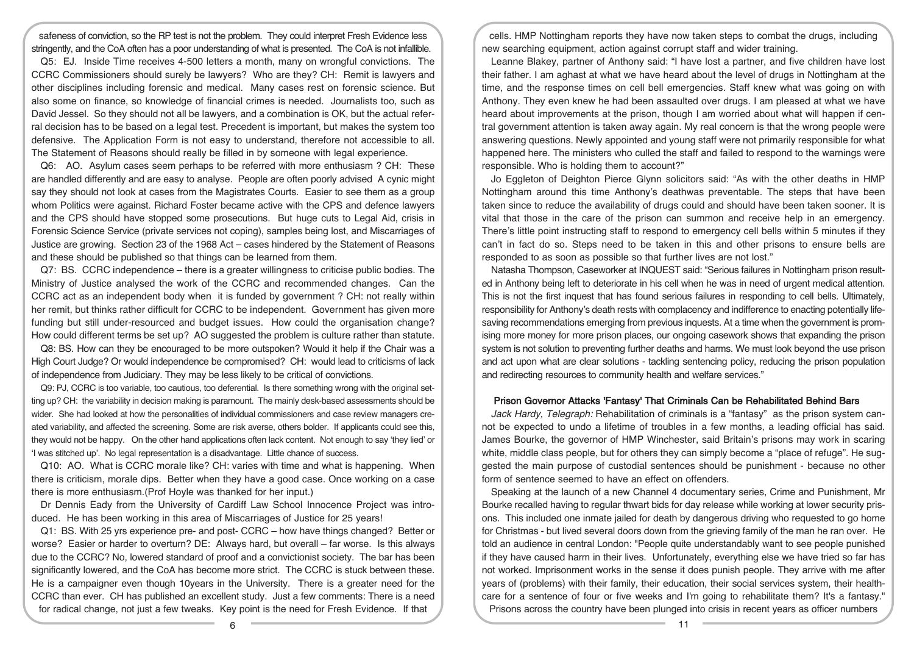safeness of conviction, so the RP test is not the problem. They could interpret Fresh Evidence less stringently, and the CoA often has a poor understanding of what is presented. The CoA is not infallible.

Q5: EJ. Inside Time receives 4-500 letters a month, many on wrongful convictions. The CCRC Commissioners should surely be lawyers? Who are they? CH: Remit is lawyers and other disciplines including forensic and medical. Many cases rest on forensic science. But also some on finance, so knowledge of financial crimes is needed. Journalists too, such as David Jessel. So they should not all be lawyers, and a combination is OK, but the actual referral decision has to be based on a legal test. Precedent is important, but makes the system too defensive. The Application Form is not easy to understand, therefore not accessible to all. The Statement of Reasons should really be filled in by someone with legal experience.

Q6: AO. Asylum cases seem perhaps to be referred with more enthusiasm ? CH: These are handled differently and are easy to analyse. People are often poorly advised A cynic might say they should not look at cases from the Magistrates Courts. Easier to see them as a group whom Politics were against. Richard Foster became active with the CPS and defence lawyers and the CPS should have stopped some prosecutions. But huge cuts to Legal Aid, crisis in Forensic Science Service (private services not coping), samples being lost, and Miscarriages of Justice are growing. Section 23 of the 1968 Act – cases hindered by the Statement of Reasons and these should be published so that things can be learned from them.

Q7: BS. CCRC independence – there is a greater willingness to criticise public bodies. The Ministry of Justice analysed the work of the CCRC and recommended changes. Can the CCRC act as an independent body when it is funded by government ? CH: not really within her remit, but thinks rather difficult for CCRC to be independent. Government has given more funding but still under-resourced and budget issues. How could the organisation change? How could different terms be set up? AO suggested the problem is culture rather than statute.

Q8: BS. How can they be encouraged to be more outspoken? Would it help if the Chair was a High Court Judge? Or would independence be compromised? CH: would lead to criticisms of lack of independence from Judiciary. They may be less likely to be critical of convictions.

Q9: PJ, CCRC is too variable, too cautious, too deferential. Is there something wrong with the original setting up? CH: the variability in decision making is paramount. The mainly desk-based assessments should be wider. She had looked at how the personalities of individual commissioners and case review managers created variability, and affected the screening. Some are risk averse, others bolder. If applicants could see this, they would not be happy. On the other hand applications often lack content. Not enough to say 'they lied' or 'I was stitched up'. No legal representation is a disadvantage. Little chance of success.

Q10: AO. What is CCRC morale like? CH: varies with time and what is happening. When there is criticism, morale dips. Better when they have a good case. Once working on a case there is more enthusiasm.(Prof Hoyle was thanked for her input.)

Dr Dennis Eady from the University of Cardiff Law School Innocence Project was introduced. He has been working in this area of Miscarriages of Justice for 25 years!

Q1: BS. With 25 yrs experience pre- and post- CCRC – how have things changed? Better or worse? Easier or harder to overturn? DE: Always hard, but overall – far worse. Is this always due to the CCRC? No, lowered standard of proof and a convictionist society. The bar has been significantly lowered, and the CoA has become more strict. The CCRC is stuck between these. He is a campaigner even though 10years in the University. There is a greater need for the CCRC than ever. CH has published an excellent study. Just a few comments: There is a need for radical change, not just a few tweaks. Key point is the need for Fresh Evidence. If that

cells. HMP Nottingham reports they have now taken steps to combat the drugs, including new searching equipment, action against corrupt staff and wider training.

Leanne Blakey, partner of Anthony said: "I have lost a partner, and five children have lost their father. I am aghast at what we have heard about the level of drugs in Nottingham at the time, and the response times on cell bell emergencies. Staff knew what was going on with Anthony. They even knew he had been assaulted over drugs. I am pleased at what we have heard about improvements at the prison, though I am worried about what will happen if central government attention is taken away again. My real concern is that the wrong people were answering questions. Newly appointed and young staff were not primarily responsible for what happened here. The ministers who culled the staff and failed to respond to the warnings were responsible. Who is holding them to account?"

Jo Eggleton of Deighton Pierce Glynn solicitors said: "As with the other deaths in HMP Nottingham around this time Anthony's deathwas preventable. The steps that have been taken since to reduce the availability of drugs could and should have been taken sooner. It is vital that those in the care of the prison can summon and receive help in an emergency. There's little point instructing staff to respond to emergency cell bells within 5 minutes if they can't in fact do so. Steps need to be taken in this and other prisons to ensure bells are responded to as soon as possible so that further lives are not lost."

Natasha Thompson, Caseworker at INQUEST said: "Serious failures in Nottingham prison resulted in Anthony being left to deteriorate in his cell when he was in need of urgent medical attention. This is not the first inquest that has found serious failures in responding to cell bells. Ultimately, responsibility for Anthony's death rests with complacency and indifference to enacting potentially lifesaving recommendations emerging from previous inquests. At a time when the government is promising more money for more prison places, our ongoing casework shows that expanding the prison system is not solution to preventing further deaths and harms. We must look beyond the use prison and act upon what are clear solutions - tackling sentencing policy, reducing the prison population and redirecting resources to community health and welfare services."

# Prison Governor Attacks 'Fantasy' That Criminals Can be Rehabilitated Behind Bars

Jack Hardy, Telegraph: Rehabilitation of criminals is a "fantasy" as the prison system cannot be expected to undo a lifetime of troubles in a few months, a leading official has said. James Bourke, the governor of HMP Winchester, said Britain's prisons may work in scaring white, middle class people, but for others they can simply become a "place of refuge". He suggested the main purpose of custodial sentences should be punishment - because no other form of sentence seemed to have an effect on offenders.

Speaking at the launch of a new Channel 4 documentary series, Crime and Punishment, Mr Bourke recalled having to regular thwart bids for day release while working at lower security prisons. This included one inmate jailed for death by dangerous driving who requested to go home for Christmas - but lived several doors down from the grieving family of the man he ran over. He told an audience in central London: "People quite understandably want to see people punished if they have caused harm in their lives. Unfortunately, everything else we have tried so far has not worked. Imprisonment works in the sense it does punish people. They arrive with me after years of (problems) with their family, their education, their social services system, their healthcare for a sentence of four or five weeks and I'm going to rehabilitate them? It's a fantasy." Prisons across the country have been plunged into crisis in recent years as officer numbers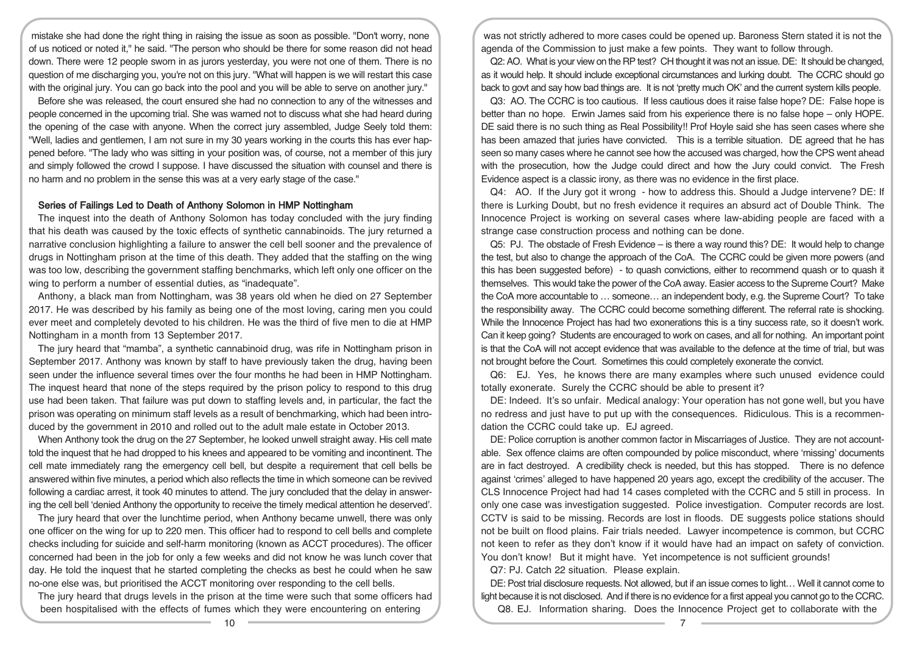mistake she had done the right thing in raising the issue as soon as possible. "Don't worry, none of us noticed or noted it," he said. "The person who should be there for some reason did not head down. There were 12 people sworn in as jurors yesterday, you were not one of them. There is no question of me discharging you, you're not on this jury. "What will happen is we will restart this case with the original jury. You can go back into the pool and you will be able to serve on another jury."

Before she was released, the court ensured she had no connection to any of the witnesses and people concerned in the upcoming trial. She was warned not to discuss what she had heard during the opening of the case with anyone. When the correct jury assembled, Judge Seely told them: "Well, ladies and gentlemen, I am not sure in my 30 years working in the courts this has ever happened before. "The lady who was sitting in your position was, of course, not a member of this jury and simply followed the crowd I suppose. I have discussed the situation with counsel and there is no harm and no problem in the sense this was at a very early stage of the case."

## Series of Failings Led to Death of Anthony Solomon in HMP Nottingham

The inquest into the death of Anthony Solomon has today concluded with the jury finding that his death was caused by the toxic effects of synthetic cannabinoids. The jury returned a narrative conclusion highlighting a failure to answer the cell bell sooner and the prevalence of drugs in Nottingham prison at the time of this death. They added that the staffing on the wing was too low, describing the government staffing benchmarks, which left only one officer on the wing to perform a number of essential duties, as "inadequate".

Anthony, a black man from Nottingham, was 38 years old when he died on 27 September 2017. He was described by his family as being one of the most loving, caring men you could ever meet and completely devoted to his children. He was the third of five men to die at HMP Nottingham in a month from 13 September 2017.

The jury heard that "mamba", a synthetic cannabinoid drug, was rife in Nottingham prison in September 2017. Anthony was known by staff to have previously taken the drug, having been seen under the influence several times over the four months he had been in HMP Nottingham. The inquest heard that none of the steps required by the prison policy to respond to this drug use had been taken. That failure was put down to staffing levels and, in particular, the fact the prison was operating on minimum staff levels as a result of benchmarking, which had been introduced by the government in 2010 and rolled out to the adult male estate in October 2013.

When Anthony took the drug on the 27 September, he looked unwell straight away. His cell mate told the inquest that he had dropped to his knees and appeared to be vomiting and incontinent. The cell mate immediately rang the emergency cell bell, but despite a requirement that cell bells be answered within five minutes, a period which also reflects the time in which someone can be revived following a cardiac arrest, it took 40 minutes to attend. The jury concluded that the delay in answering the cell bell 'denied Anthony the opportunity to receive the timely medical attention he deserved'.

The jury heard that over the lunchtime period, when Anthony became unwell, there was only one officer on the wing for up to 220 men. This officer had to respond to cell bells and complete checks including for suicide and self-harm monitoring (known as ACCT procedures). The officer concerned had been in the job for only a few weeks and did not know he was lunch cover that day. He told the inquest that he started completing the checks as best he could when he saw no-one else was, but prioritised the ACCT monitoring over responding to the cell bells.

The jury heard that drugs levels in the prison at the time were such that some officers had been hospitalised with the effects of fumes which they were encountering on entering

was not strictly adhered to more cases could be opened up. Baroness Stern stated it is not the agenda of the Commission to just make a few points. They want to follow through.

Q2: AO. What is your view on the RP test? CH thought it was not an issue. DE: It should be changed, as it would help. It should include exceptional circumstances and lurking doubt. The CCRC should go back to govt and say how bad things are. It is not 'pretty much OK' and the current system kills people.

Q3: AO. The CCRC is too cautious. If less cautious does it raise false hope? DE: False hope is better than no hope. Erwin James said from his experience there is no false hope – only HOPE. DE said there is no such thing as Real Possibility!! Prof Hoyle said she has seen cases where she has been amazed that juries have convicted. This is a terrible situation. DE agreed that he has seen so many cases where he cannot see how the accused was charged, how the CPS went ahead with the prosecution, how the Judge could direct and how the Jury could convict. The Fresh Evidence aspect is a classic irony, as there was no evidence in the first place.

Q4: AO. If the Jury got it wrong - how to address this. Should a Judge intervene? DE: If there is Lurking Doubt, but no fresh evidence it requires an absurd act of Double Think. The Innocence Project is working on several cases where law-abiding people are faced with a strange case construction process and nothing can be done.

 $Q5:$  PJ. The obstacle of Fresh Evidence – is there a way round this? DE: It would help to change the test, but also to change the approach of the CoA. The CCRC could be given more powers (and this has been suggested before) - to quash convictions, either to recommend quash or to quash it themselves. This would take the power of the CoA away. Easier access to the Supreme Court? Make the CoA more accountable to … someone… an independent body, e.g. the Supreme Court? To take the responsibility away. The CCRC could become something different. The referral rate is shocking. While the Innocence Project has had two exonerations this is a tiny success rate, so it doesn't work. Can it keep going? Students are encouraged to work on cases, and all for nothing. An important point is that the CoA will not accept evidence that was available to the defence at the time of trial, but was not brought before the Court. Sometimes this could completely exonerate the convict.

Q6: EJ. Yes, he knows there are many examples where such unused evidence could totally exonerate. Surely the CCRC should be able to present it?

DE: Indeed. It's so unfair. Medical analogy: Your operation has not gone well, but you have no redress and just have to put up with the consequences. Ridiculous. This is a recommendation the CCRC could take up. EJ agreed.

DE: Police corruption is another common factor in Miscarriages of Justice. They are not accountable. Sex offence claims are often compounded by police misconduct, where 'missing' documents are in fact destroyed. A credibility check is needed, but this has stopped. There is no defence against 'crimes' alleged to have happened 20 years ago, except the credibility of the accuser. The CLS Innocence Project had had 14 cases completed with the CCRC and 5 still in process. In only one case was investigation suggested. Police investigation. Computer records are lost. CCTV is said to be missing. Records are lost in floods. DE suggests police stations should not be built on flood plains. Fair trials needed. Lawyer incompetence is common, but CCRC not keen to refer as they don't know if it would have had an impact on safety of conviction. You don't know! But it might have. Yet incompetence is not sufficient grounds!

Q7: PJ. Catch 22 situation. Please explain.

DE: Post trial disclosure requests. Not allowed, but if an issue comes to light… Well it cannot come to light because it is not disclosed. And if there is no evidence for a first appeal you cannot go to the CCRC. Q8. EJ. Information sharing. Does the Innocence Project get to collaborate with the